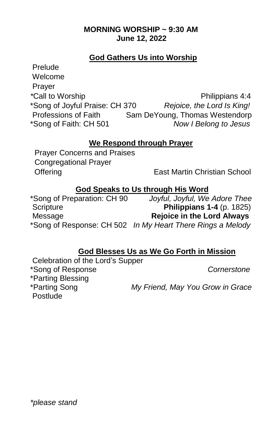## **MORNING WORSHIP ~ 9:30 AM June 12, 2022**

## **God Gathers Us into Worship**

Prelude Welcome Prayer *\*Call to Worship* **Philippians 4:4** \*Song of Joyful Praise: CH 370 *Rejoice, the Lord Is King!* Professions of Faith Sam DeYoung, Thomas Westendorp \*Song of Faith: CH 501 *Now I Belong to Jesus*

## **We Respond through Prayer**

Prayer Concerns and Praises Congregational Prayer Offering **East Martin Christian School** 

## **God Speaks to Us through His Word**

\*Song of Preparation: CH 90 *Joyful, Joyful, We Adore Thee* Scripture **Philippians 1-4** (p. 1825) Message **Rejoice in the Lord Always**  \*Song of Response: CH 502 *In My Heart There Rings a Melody* 

## **God Blesses Us as We Go Forth in Mission**

Celebration of the Lord's Supper \*Song of Response *Cornerstone* \*Parting Blessing<br>\*Parting Song Postlude

 $Mv$  Friend, May You Grow in Grace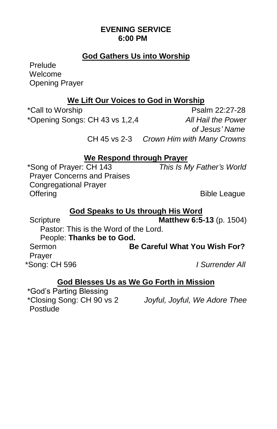## **EVENING SERVICE 6:00 PM**

## **God Gathers Us into Worship**

Prelude Welcome Opening Prayer

## **We Lift Our Voices to God in Worship**

\*Call to Worship **Psalm 22:27-28** \*Opening Songs: CH 43 vs 1,2,4 *All Hail the Power* 

 *of Jesus' Name* CH 45 vs 2-3 *Crown Him with Many Crowns*

## **We Respond through Prayer**

\*Song of Prayer: CH 143 *This Is My Father's World*  Prayer Concerns and Praises Congregational Prayer Offering Bible League

## **God Speaks to Us through His Word**

Scripture **Matthew 6:5-13** (p. 1504)

 Pastor: This is the Word of the Lord. People: **Thanks be to God.** Sermon **Be Careful What You Wish For?**  Prayer \*Song: CH 596 *I Surrender All* 

## **God Blesses Us as We Go Forth in Mission**

\*God's Parting Blessing Postlude

\*Closing Song: CH 90 vs 2 *Joyful, Joyful, We Adore Thee*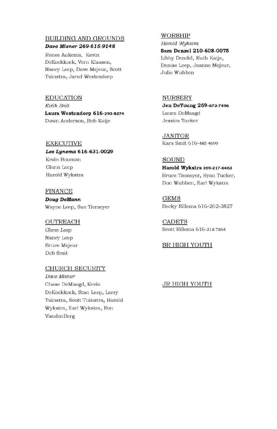#### **BUILDING AND GROUNDS** Dave Misner 269-615-9148

Renee Aukema, Kevin DeKoekkoek, Vern Klaasen, Nancy Leep, Dave Mejeur, Scott Tuinstra, Jared Westendorp

#### **EDUCATION** Keith Smit Laura Westendorp 616-293-8274 Dawn Anderson, Bob Katje

#### **EXECUTIVE**

Les Lynema 616-631-0029 Kevin Bouman Glenn Leep Harold Wykstra

#### **FINANCE**

Doug DeMann Wayne Leep, Sue Tiemeyer

#### **OUTREACH**

Glenn Leep Nancy Leep **Bruce Mejeur** Deb Smit

#### **CHURCH SECURITY**

Dave Misner Chase DeMaagd, Kevin DeKoekkoek, Stan Leep, Larry Tuinstra, Scott Tuinstra, Harold Wykstra, Earl Wykstra, Ron VandenBerg

#### WORSHIP

Harold Wykstra Sara Denzel 210-608-0075 Libby Dendel, Ruth Katje, Denise Leep, Joanne Mejeur, Julie Wubben

#### **NURSERY** Jen DeYoung 269-672-7496 Laura DeMaagd Jessica Tucker

**JANITOR** Kara Smit 616-485-4699

#### **SOUND**

Harold Wykstra 269-217-6463 Bruce Tiemeyer, Ryan Tucker, Don Wubben, Earl Wykstra

**GEMS** Becky Rillema 616-262-3827

**CADETS** Scott Rillema 616-318-7864

#### **SR HIGH YOUTH**

#### **JR HIGH YOUTH**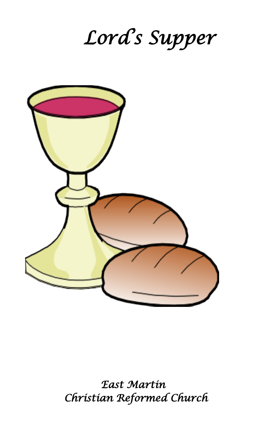# *Lord's Supper*



*East Martin Christian Reformed Church*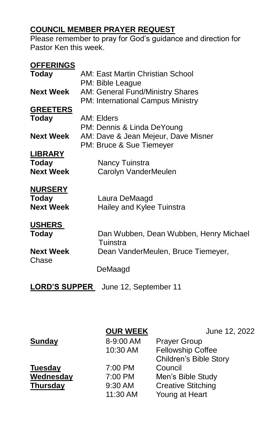## **COUNCIL MEMBER PRAYER REQUEST**

Please remember to pray for God's guidance and direction for Pastor Ken this week.

| <b>OFFERINGS</b>     |                                         |
|----------------------|-----------------------------------------|
| <b>Today</b>         | AM: East Martin Christian School        |
|                      | PM: Bible League                        |
| <b>Next Week</b>     | <b>AM: General Fund/Ministry Shares</b> |
|                      | PM: International Campus Ministry       |
| <b>GREETERS</b>      |                                         |
| <b>Today</b>         | AM: Elders                              |
|                      | PM: Dennis & Linda DeYoung              |
| <b>Next Week</b>     | AM: Dave & Jean Mejeur, Dave Misner     |
|                      | PM: Bruce & Sue Tiemeyer                |
| <b>LIBRARY</b>       |                                         |
| <b>Today</b>         | Nancy Tuinstra                          |
| <b>Next Week</b>     | Carolyn VanderMeulen                    |
|                      |                                         |
| <b>NURSERY</b>       |                                         |
| Today                | Laura DeMaagd                           |
| <b>Next Week</b>     | Hailey and Kylee Tuinstra               |
|                      |                                         |
| <b>USHERS</b>        |                                         |
| <b>Today</b>         | Dan Wubben, Dean Wubben, Henry Michael  |
|                      | Tuinstra                                |
| <b>Next Week</b>     | Dean VanderMeulen, Bruce Tiemeyer,      |
| Chase                |                                         |
|                      | DeMaagd                                 |
|                      |                                         |
| <b>LORD'S SUPPER</b> | June 12. September 11                   |

**LORD'S SUPPER** June 12, September 11

|                 | <b>OUR WEEK</b> | June 12, 2022                 |
|-----------------|-----------------|-------------------------------|
| Sunday          | 8-9:00 AM       | <b>Prayer Group</b>           |
|                 | 10:30 AM        | <b>Fellowship Coffee</b>      |
|                 |                 | <b>Children's Bible Story</b> |
| <b>Tuesday</b>  | 7:00 PM         | Council                       |
| Wednesday       | 7:00 PM         | Men's Bible Study             |
| <b>Thursday</b> | 9:30 AM         | <b>Creative Stitching</b>     |
|                 | 11:30 AM        | Young at Heart                |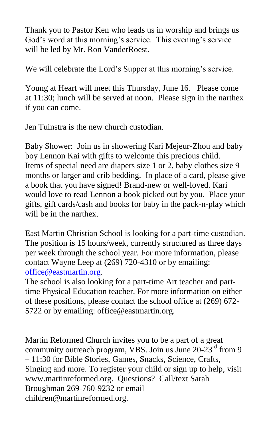Thank you to Pastor Ken who leads us in worship and brings us God's word at this morning's service. This evening's service will be led by Mr. Ron VanderRoest.

We will celebrate the Lord's Supper at this morning's service.

Young at Heart will meet this Thursday, June 16. Please come at 11:30; lunch will be served at noon. Please sign in the narthex if you can come.

Jen Tuinstra is the new church custodian.

Baby Shower: Join us in showering Kari Mejeur-Zhou and baby boy Lennon Kai with gifts to welcome this precious child. Items of special need are diapers size 1 or 2, baby clothes size 9 months or larger and crib bedding. In place of a card, please give a book that you have signed! Brand-new or well-loved. Kari would love to read Lennon a book picked out by you. Place your gifts, gift cards/cash and books for baby in the pack-n-play which will be in the narthex.

East Martin Christian School is looking for a part-time custodian. The position is 15 hours/week, currently structured as three days per week through the school year. For more information, please contact Wayne Leep at (269) 720-4310 or by emailing: [office@eastmartin.org.](mailto:office@eastmartin.org)

The school is also looking for a part-time Art teacher and parttime Physical Education teacher. For more information on either of these positions, please contact the school office at (269) 672- 5722 or by emailing: office@eastmartin.org.

Martin Reformed Church invites you to be a part of a great community outreach program, VBS. Join us June  $20-23<sup>rd</sup>$  from 9 – 11:30 for Bible Stories, Games, Snacks, Science, Crafts, Singing and more. To register your child or sign up to help, visit www.martinreformed.org. Questions? Call/text Sarah Broughman 269-760-9232 or email children@martinreformed.org.